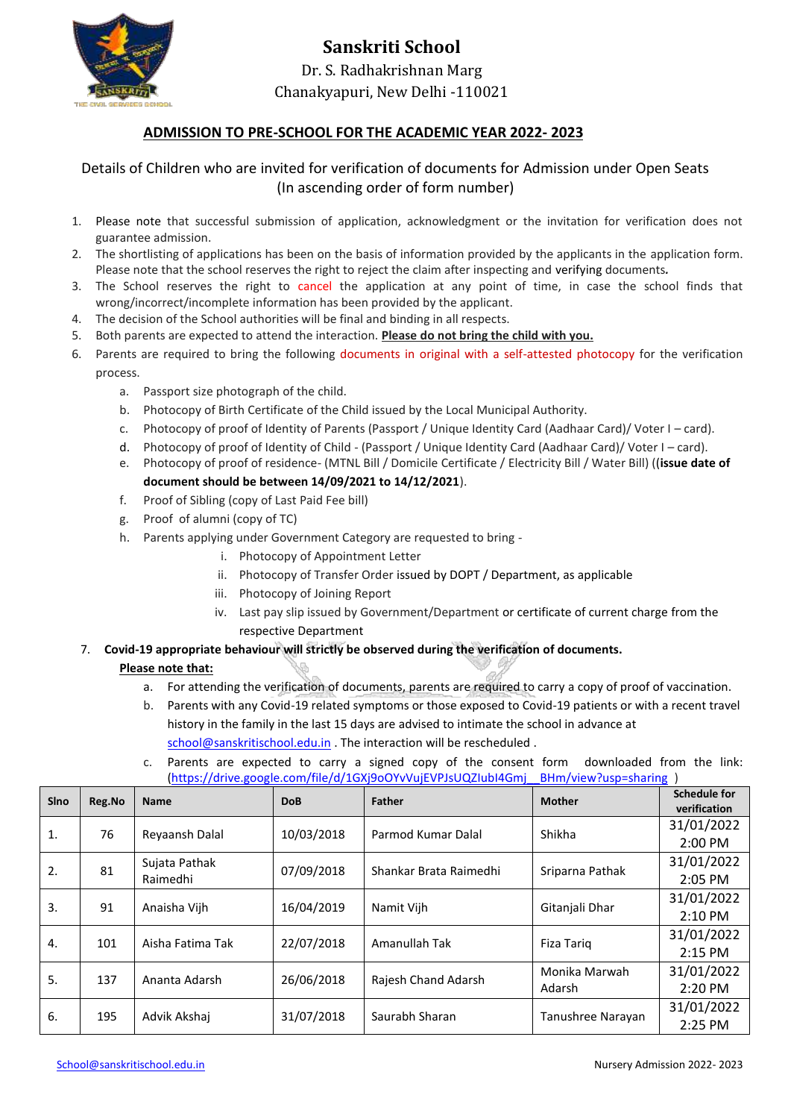

## **Sanskriti School** Dr. S. Radhakrishnan Marg Chanakyapuri, New Delhi -110021

#### **ADMISSION TO PRE-SCHOOL FOR THE ACADEMIC YEAR 2022- 2023**

#### Details of Children who are invited for verification of documents for Admission under Open Seats (In ascending order of form number)

- 1. Please note that successful submission of application, acknowledgment or the invitation for verification does not guarantee admission.
- 2. The shortlisting of applications has been on the basis of information provided by the applicants in the application form. Please note that the school reserves the right to reject the claim after inspecting and verifying documents*.*
- 3. The School reserves the right to cancel the application at any point of time, in case the school finds that wrong/incorrect/incomplete information has been provided by the applicant.
- 4. The decision of the School authorities will be final and binding in all respects.
- 5. Both parents are expected to attend the interaction. **Please do not bring the child with you.**
- 6. Parents are required to bring the following documents in original with a self-attested photocopy for the verification process.
	- a. Passport size photograph of the child.
	- b. Photocopy of Birth Certificate of the Child issued by the Local Municipal Authority.
	- c. Photocopy of proof of Identity of Parents (Passport / Unique Identity Card (Aadhaar Card)/ Voter I card).
	- d. Photocopy of proof of Identity of Child (Passport / Unique Identity Card (Aadhaar Card)/ Voter I card).
	- e. Photocopy of proof of residence- (MTNL Bill / Domicile Certificate / Electricity Bill / Water Bill) ((**issue date of document should be between 14/09/2021 to 14/12/2021**).
	- f. Proof of Sibling (copy of Last Paid Fee bill)
	- g. Proof of alumni (copy of TC)
	- h. Parents applying under Government Category are requested to bring
		- i. Photocopy of Appointment Letter
		- ii. Photocopy of Transfer Order issued by DOPT / Department, as applicable
		- iii. Photocopy of Joining Report
		- iv. Last pay slip issued by Government/Department or certificate of current charge from the respective Department

#### 7. **Covid-19 appropriate behaviour will strictly be observed during the verification of documents.**

#### **Please note that:**

- a. For attending the verification of documents, parents are required to carry a copy of proof of vaccination.
- b. Parents with any Covid-19 related symptoms or those exposed to Covid-19 patients or with a recent travel history in the family in the last 15 days are advised to intimate the school in advance at [school@sanskritischool.edu.in](mailto:school@sanskritischool.edu.in) . The interaction will be rescheduled .
- c. Parents are expected to carry a signed copy of the consent form downloaded from the link: [\(https://drive.google.com/file/d/1GXj9oOYvVujEVPJsUQZIubI4Gmj\\_\\_BHm/view?usp=sharing](https://drive.google.com/file/d/1GXj9oOYvVujEVPJsUQZIubI4Gmj__BHm/view?usp=sharing) )

| Sino             | Reg.No | <b>Name</b>      | <b>DoB</b> | <b>Father</b>          | <b>Mother</b>     | <b>Schedule for</b><br>verification |
|------------------|--------|------------------|------------|------------------------|-------------------|-------------------------------------|
| $\mathbf{1}$ .   | 76     | Reyaansh Dalal   | 10/03/2018 | Parmod Kumar Dalal     | Shikha            | 31/01/2022                          |
|                  |        |                  |            |                        |                   | 2:00 PM                             |
| 2.               | 81     | Sujata Pathak    | 07/09/2018 | Shankar Brata Raimedhi | Sriparna Pathak   | 31/01/2022                          |
|                  |        | Raimedhi         |            |                        |                   | 2:05 PM                             |
| $\overline{3}$ . | 91     | Anaisha Vijh     | 16/04/2019 | Namit Vijh             | Gitanjali Dhar    | 31/01/2022                          |
|                  |        |                  |            |                        |                   | 2:10 PM                             |
| 4.               | 101    | Aisha Fatima Tak | 22/07/2018 | Amanullah Tak          | Fiza Tarig        | 31/01/2022                          |
|                  |        |                  |            |                        |                   | 2:15 PM                             |
|                  | 137    | Ananta Adarsh    | 26/06/2018 | Rajesh Chand Adarsh    | Monika Marwah     | 31/01/2022                          |
| 5.               |        |                  |            |                        | Adarsh            | 2:20 PM                             |
| 6.               | 195    | Advik Akshaj     | 31/07/2018 | Saurabh Sharan         | Tanushree Narayan | 31/01/2022                          |
|                  |        |                  |            |                        |                   | 2:25 PM                             |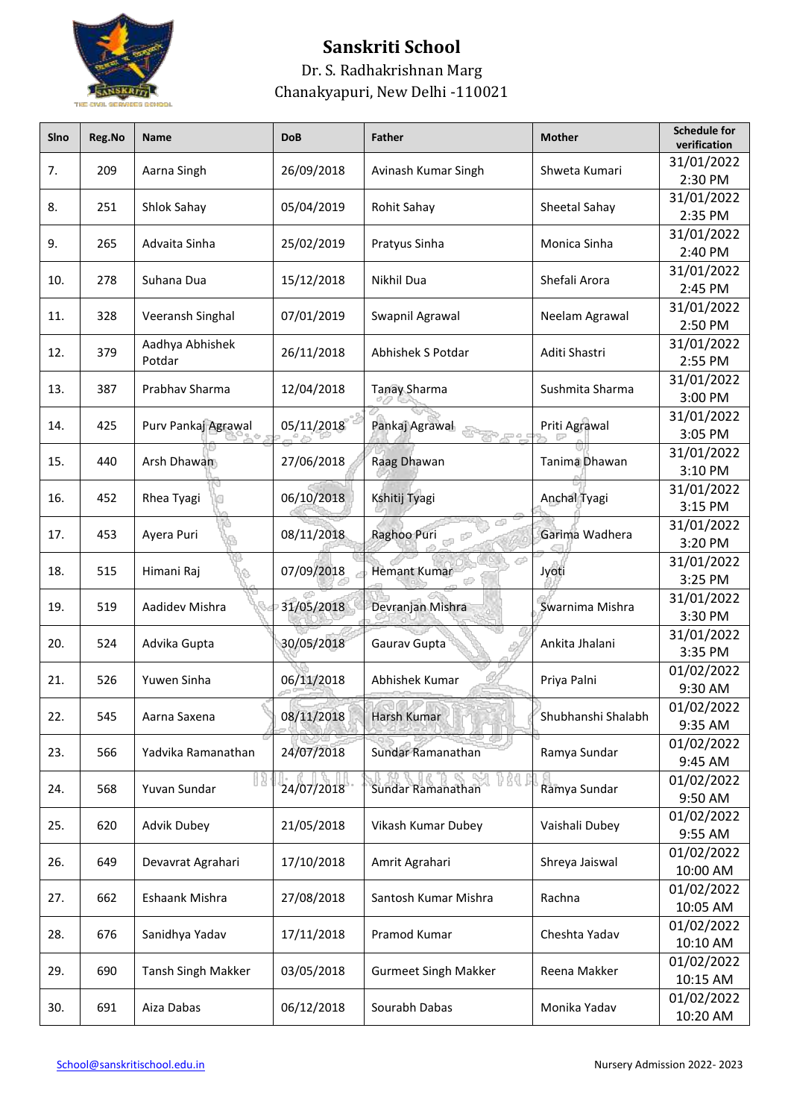

| Sino | Reg.No | Name                | <b>DoB</b> | <b>Father</b>               | <b>Mother</b>      | <b>Schedule for</b><br>verification |
|------|--------|---------------------|------------|-----------------------------|--------------------|-------------------------------------|
| 7.   | 209    | Aarna Singh         | 26/09/2018 | Avinash Kumar Singh         | Shweta Kumari      | 31/01/2022<br>2:30 PM               |
| 8.   | 251    | Shlok Sahay         | 05/04/2019 | Rohit Sahay                 | Sheetal Sahay      | 31/01/2022<br>2:35 PM               |
| 9.   | 265    | Advaita Sinha       | 25/02/2019 | Pratyus Sinha               | Monica Sinha       | 31/01/2022<br>2:40 PM               |
| 10.  | 278    | Suhana Dua          | 15/12/2018 | Nikhil Dua                  | Shefali Arora      | 31/01/2022                          |
| 11.  | 328    | Veeransh Singhal    | 07/01/2019 | Swapnil Agrawal             | Neelam Agrawal     | 2:45 PM<br>31/01/2022               |
| 12.  | 379    | Aadhya Abhishek     | 26/11/2018 | Abhishek S Potdar           | Aditi Shastri      | 2:50 PM<br>31/01/2022               |
|      |        | Potdar              |            |                             |                    | 2:55 PM<br>31/01/2022               |
| 13.  | 387    | Prabhav Sharma      | 12/04/2018 | <b>Tanay Sharma</b>         | Sushmita Sharma    | 3:00 PM<br>31/01/2022               |
| 14.  | 425    | Purv Pankaj Agrawal | 05/11/2018 | Pankaj Agrawal              | Priti Agrawal      | 3:05 PM                             |
| 15.  | 440    | Arsh Dhawan         | 27/06/2018 | Raag Dhawan                 | Tanima Dhawan      | 31/01/2022<br>3:10 PM               |
| 16.  | 452    | Rhea Tyagi          | 06/10/2018 | Kshitij Tyagi               | Anchal Tyagi       | 31/01/2022<br>3:15 PM               |
| 17.  | 453    | Ayera Puri          | 08/11/2018 | Raghoo Puri                 | Garima Wadhera     | 31/01/2022<br>3:20 PM               |
| 18.  | 515    | Himani Raj          | 07/09/2018 | <b>Hemant Kumar</b>         | Jyoti              | 31/01/2022<br>3:25 PM               |
| 19.  | 519    | Aadidev Mishra      | 31/05/2018 | Devranjan Mishra            | Swarnima Mishra    | 31/01/2022<br>3:30 PM               |
| 20.  | 524    | Advika Gupta        | 30/05/2018 | Gaurav Gupta                | Ankita Jhalani     | 31/01/2022                          |
| 21.  | 526    | Yuwen Sinha         | 06/11/2018 | Abhishek Kumar              | Priya Palni        | 3:35 PM<br>01/02/2022               |
|      |        |                     |            | Harsh Kumar                 |                    | 9:30 AM<br>01/02/2022               |
| 22.  | 545    | Aarna Saxena        | 08/11/2018 |                             | Shubhanshi Shalabh | 9:35 AM<br>01/02/2022               |
| 23.  | 566    | Yadvika Ramanathan  | 24/07/2018 | Sundar Ramanathan           | Ramya Sundar       | 9:45 AM                             |
| 24.  | 568    | Yuvan Sundar        | 24/07/2018 | Sundar Ramanathan           | Ramya Sundar       | 01/02/2022<br>9:50 AM               |
| 25.  | 620    | Advik Dubey         | 21/05/2018 | Vikash Kumar Dubey          | Vaishali Dubey     | 01/02/2022<br>9:55 AM               |
| 26.  | 649    | Devavrat Agrahari   | 17/10/2018 | Amrit Agrahari              | Shreya Jaiswal     | 01/02/2022<br>10:00 AM              |
| 27.  | 662    | Eshaank Mishra      | 27/08/2018 | Santosh Kumar Mishra        | Rachna             | 01/02/2022<br>10:05 AM              |
| 28.  | 676    | Sanidhya Yadav      | 17/11/2018 | Pramod Kumar                | Cheshta Yadav      | 01/02/2022<br>10:10 AM              |
| 29.  | 690    | Tansh Singh Makker  | 03/05/2018 | <b>Gurmeet Singh Makker</b> | Reena Makker       | 01/02/2022                          |
| 30.  | 691    | Aiza Dabas          | 06/12/2018 | Sourabh Dabas               | Monika Yadav       | 10:15 AM<br>01/02/2022<br>10:20 AM  |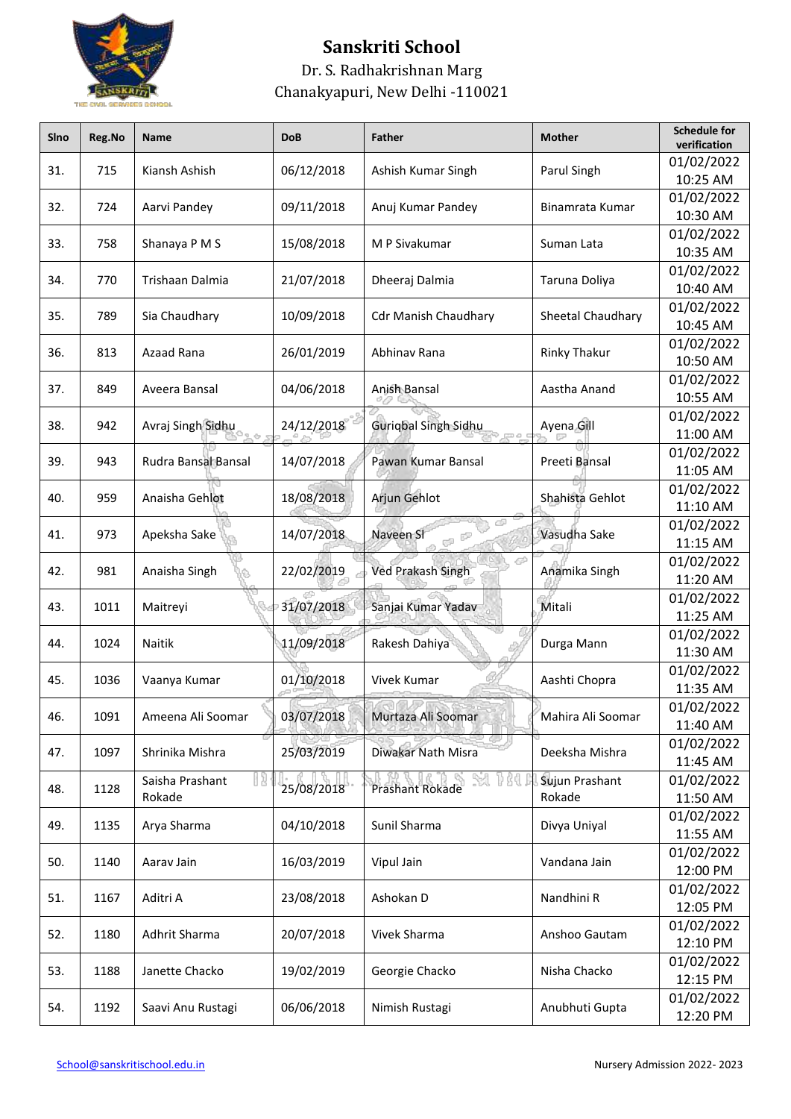

| Sino | Reg.No | Name                | <b>DoB</b> | <b>Father</b>               | <b>Mother</b>       | <b>Schedule for</b><br>verification |
|------|--------|---------------------|------------|-----------------------------|---------------------|-------------------------------------|
| 31.  | 715    | Kiansh Ashish       | 06/12/2018 | Ashish Kumar Singh          | Parul Singh         | 01/02/2022<br>10:25 AM              |
|      |        |                     |            |                             |                     | 01/02/2022                          |
| 32.  | 724    | Aarvi Pandey        | 09/11/2018 | Anuj Kumar Pandey           | Binamrata Kumar     | 10:30 AM                            |
|      |        |                     |            |                             |                     | 01/02/2022                          |
| 33.  | 758    | Shanaya P M S       | 15/08/2018 | M P Sivakumar               | Suman Lata          | 10:35 AM                            |
| 34.  | 770    | Trishaan Dalmia     | 21/07/2018 | Dheeraj Dalmia              | Taruna Doliya       | 01/02/2022                          |
|      |        |                     |            |                             |                     | 10:40 AM                            |
| 35.  | 789    | Sia Chaudhary       | 10/09/2018 | <b>Cdr Manish Chaudhary</b> | Sheetal Chaudhary   | 01/02/2022                          |
|      |        |                     |            |                             |                     | 10:45 AM                            |
| 36.  | 813    | Azaad Rana          | 26/01/2019 | Abhinav Rana                | <b>Rinky Thakur</b> | 01/02/2022<br>10:50 AM              |
|      |        |                     |            |                             |                     | 01/02/2022                          |
| 37.  | 849    | Aveera Bansal       | 04/06/2018 | Anish Bansal                | Aastha Anand        | 10:55 AM                            |
|      |        |                     |            |                             |                     | 01/02/2022                          |
| 38.  | 942    | Avraj Singh Sidhu   | 24/12/2018 | Guriqbal Singh Sidhu        | Ayena Gill          | 11:00 AM                            |
|      |        |                     |            |                             |                     | 01/02/2022                          |
| 39.  | 943    | Rudra Bansal Bansal | 14/07/2018 | Pawan Kumar Bansal          | Preeti Bansal       | 11:05 AM                            |
|      |        |                     |            |                             |                     | 01/02/2022                          |
| 40.  | 959    | Anaisha Gehlot      | 18/08/2018 | Arjun Gehlot                | Shahista Gehlot     | 11:10 AM                            |
| 41.  | 973    | Apeksha Sake        | 14/07/2018 | Naveen SI                   | Vasudha Sake        | 01/02/2022                          |
|      |        |                     |            |                             |                     | 11:15 AM                            |
| 42.  | 981    | Anaisha Singh       | 22/02/2019 | Ved Prakash Singh           | Anamika Singh       | 01/02/2022                          |
|      |        |                     |            |                             |                     | 11:20 AM                            |
| 43.  | 1011   | Maitreyi            | 31/07/2018 | Sanjai Kumar Yadav          | Mitali              | 01/02/2022<br>11:25 AM              |
|      |        |                     |            |                             |                     | 01/02/2022                          |
| 44.  | 1024   | Naitik              | 11/09/2018 | Rakesh Dahiya               | Durga Mann          | 11:30 AM                            |
|      |        |                     |            |                             |                     | 01/02/2022                          |
| 45.  | 1036   | Vaanya Kumar        | 01/10/2018 | Vivek Kumar                 | Aashti Chopra       | 11:35 AM                            |
|      |        |                     |            |                             |                     | 01/02/2022                          |
| 46.  | 1091   | Ameena Ali Soomar   | 03/07/2018 | Murtaza Ali Soomar          | Mahira Ali Soomar   | 11:40 AM                            |
| 47.  | 1097   | Shrinika Mishra     | 25/03/2019 | Diwakar Nath Misra          |                     | 01/02/2022                          |
|      |        |                     |            |                             | Deeksha Mishra      | 11:45 AM                            |
| 48.  | 1128   | Saisha Prashant     | 25/08/2018 | Prashant Rokade             | Sujun Prashant      | 01/02/2022                          |
|      |        | Rokade              |            |                             | Rokade              | 11:50 AM                            |
| 49.  | 1135   | Arya Sharma         | 04/10/2018 | Sunil Sharma                | Divya Uniyal        | 01/02/2022                          |
|      |        |                     |            |                             |                     | 11:55 AM                            |
| 50.  | 1140   | Aarav Jain          | 16/03/2019 | Vipul Jain                  | Vandana Jain        | 01/02/2022<br>12:00 PM              |
|      | 1167   | Aditri A            | 23/08/2018 | Ashokan D                   | Nandhini R          | 01/02/2022                          |
| 51.  |        |                     |            |                             |                     | 12:05 PM                            |
|      | 1180   | Adhrit Sharma       | 20/07/2018 | Vivek Sharma                | Anshoo Gautam       | 01/02/2022                          |
| 52.  |        |                     |            |                             |                     | 12:10 PM                            |
|      | 1188   | Janette Chacko      |            | Georgie Chacko              | Nisha Chacko        | 01/02/2022                          |
| 53.  |        |                     | 19/02/2019 |                             |                     | 12:15 PM                            |
|      |        |                     |            |                             |                     | 01/02/2022                          |
| 54.  | 1192   | Saavi Anu Rustagi   | 06/06/2018 | Nimish Rustagi              | Anubhuti Gupta      | 12:20 PM                            |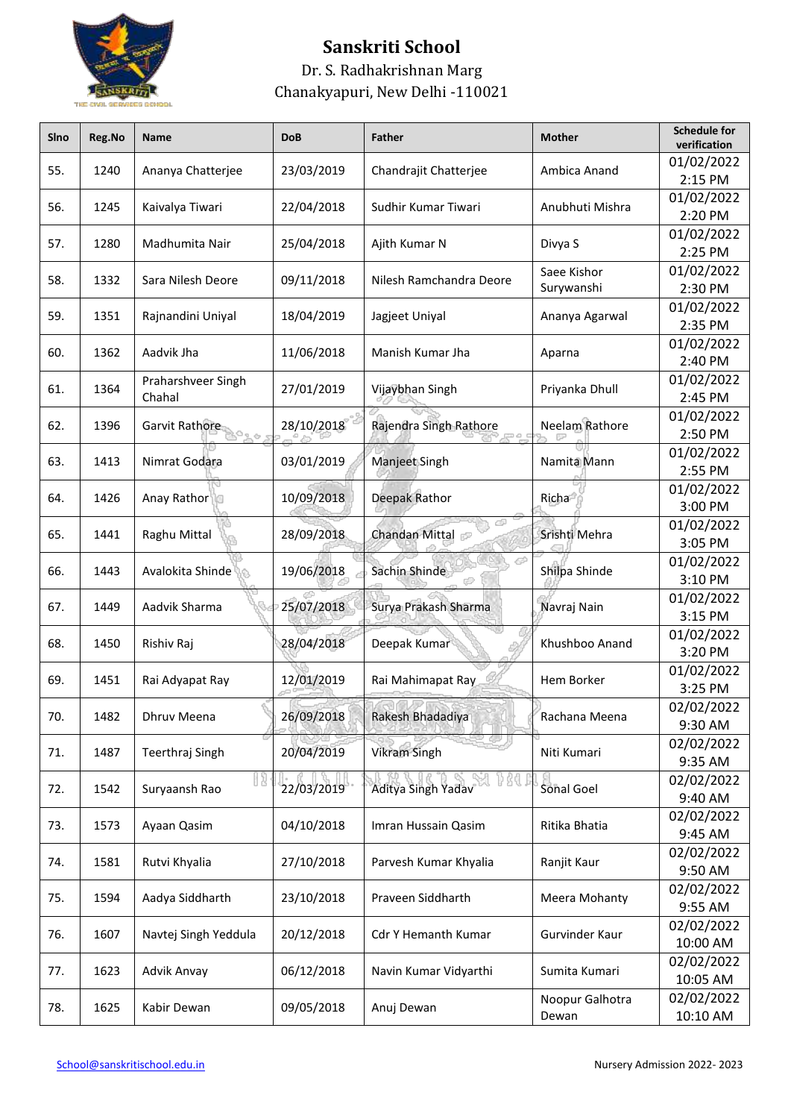

| Sino | Reg.No | Name                     | <b>DoB</b> | <b>Father</b>           | <b>Mother</b>             | <b>Schedule for</b><br>verification |
|------|--------|--------------------------|------------|-------------------------|---------------------------|-------------------------------------|
| 55.  | 1240   | Ananya Chatterjee        | 23/03/2019 | Chandrajit Chatterjee   | Ambica Anand              | 01/02/2022<br>2:15 PM               |
| 56.  | 1245   | Kaivalya Tiwari          | 22/04/2018 | Sudhir Kumar Tiwari     | Anubhuti Mishra           | 01/02/2022<br>2:20 PM               |
| 57.  | 1280   | Madhumita Nair           | 25/04/2018 | Ajith Kumar N           | Divya S                   | 01/02/2022<br>2:25 PM               |
| 58.  | 1332   | Sara Nilesh Deore        | 09/11/2018 | Nilesh Ramchandra Deore | Saee Kishor<br>Surywanshi | 01/02/2022<br>2:30 PM               |
| 59.  | 1351   | Rajnandini Uniyal        | 18/04/2019 | Jagjeet Uniyal          | Ananya Agarwal            | 01/02/2022<br>2:35 PM               |
| 60.  | 1362   | Aadvik Jha               | 11/06/2018 | Manish Kumar Jha        | Aparna                    | 01/02/2022                          |
| 61.  | 1364   | Praharshveer Singh       | 27/01/2019 | Vijaybhan Singh         | Priyanka Dhull            | 2:40 PM<br>01/02/2022               |
| 62.  | 1396   | Chahal<br>Garvit Rathore | 28/10/2018 | Rajendra Singh Rathore  | Neelam Rathore            | 2:45 PM<br>01/02/2022               |
| 63.  | 1413   | Nimrat Godara            | 03/01/2019 | Manjeet Singh           | Namita Mann               | 2:50 PM<br>01/02/2022               |
|      |        |                          |            |                         |                           | 2:55 PM<br>01/02/2022               |
| 64.  | 1426   | Anay Rathor              | 10/09/2018 | Deepak Rathor           | Richa                     | 3:00 PM<br>01/02/2022               |
| 65.  | 1441   | Raghu Mittal             | 28/09/2018 | Chandan Mittal          | Srishti Mehra             | 3:05 PM<br>01/02/2022               |
| 66.  | 1443   | Avalokita Shinde         | 19/06/2018 | Sachin Shinde           | Shilpa Shinde             | 3:10 PM                             |
| 67.  | 1449   | Aadvik Sharma            | 25/07/2018 | Surya Prakash Sharma    | Navraj Nain               | 01/02/2022<br>3:15 PM               |
| 68.  | 1450   | Rishiv Raj               | 28/04/2018 | Deepak Kumar            | Khushboo Anand            | 01/02/2022<br>3:20 PM               |
| 69.  | 1451   | Rai Adyapat Ray          | 12/01/2019 | Rai Mahimapat Ray       | Hem Borker                | 01/02/2022<br>3:25 PM               |
| 70.  | 1482   | Dhruv Meena              | 26/09/2018 | Rakesh Bhadadiya        | Rachana Meena             | 02/02/2022<br>9:30 AM               |
| 71.  | 1487   | Teerthraj Singh          | 20/04/2019 | <b>Vikram Singh</b>     | Niti Kumari               | 02/02/2022<br>9:35 AM               |
| 72.  | 1542   | Suryaansh Rao            | 22/03/2019 | Aditya Singh Yadav      | Sonal Goel                | 02/02/2022<br>9:40 AM               |
| 73.  | 1573   | Ayaan Qasim              | 04/10/2018 | Imran Hussain Qasim     | Ritika Bhatia             | 02/02/2022<br>9:45 AM               |
| 74.  | 1581   | Rutvi Khyalia            | 27/10/2018 | Parvesh Kumar Khyalia   | Ranjit Kaur               | 02/02/2022<br>9:50 AM               |
| 75.  | 1594   | Aadya Siddharth          | 23/10/2018 | Praveen Siddharth       | Meera Mohanty             | 02/02/2022<br>9:55 AM               |
| 76.  | 1607   | Navtej Singh Yeddula     | 20/12/2018 | Cdr Y Hemanth Kumar     | Gurvinder Kaur            | 02/02/2022<br>10:00 AM              |
| 77.  | 1623   | Advik Anvay              | 06/12/2018 | Navin Kumar Vidyarthi   | Sumita Kumari             | 02/02/2022<br>10:05 AM              |
| 78.  | 1625   | Kabir Dewan              | 09/05/2018 | Anuj Dewan              | Noopur Galhotra<br>Dewan  | 02/02/2022<br>10:10 AM              |